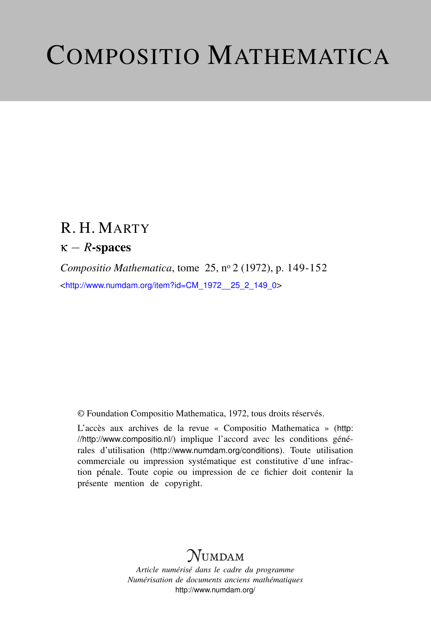# COMPOSITIO MATHEMATICA

# R. H. MARTY

## κ − *R*-spaces

*Compositio Mathematica*, tome 25, n<sup>o</sup> 2 (1972), p. 149-152 <[http://www.numdam.org/item?id=CM\\_1972\\_\\_25\\_2\\_149\\_0](http://www.numdam.org/item?id=CM_1972__25_2_149_0)>

© Foundation Compositio Mathematica, 1972, tous droits réservés.

L'accès aux archives de la revue « Compositio Mathematica » ([http:](http://http://www.compositio.nl/) [//http://www.compositio.nl/](http://http://www.compositio.nl/)) implique l'accord avec les conditions générales d'utilisation (<http://www.numdam.org/conditions>). Toute utilisation commerciale ou impression systématique est constitutive d'une infraction pénale. Toute copie ou impression de ce fichier doit contenir la présente mention de copyright.

# **NUMDAM**

*Article numérisé dans le cadre du programme Numérisation de documents anciens mathématiques* <http://www.numdam.org/>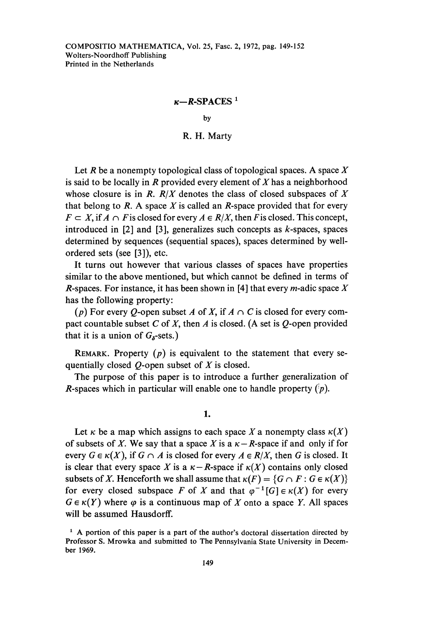## $\kappa$ -SPACES<sup>1</sup>

by

## R. H. Marty

Let R be a nonempty topological class of topological spaces. A space X is said to be locally in  $R$  provided every element of  $X$  has a neighborhood whose closure is in R.  $R/X$  denotes the class of closed subspaces of X that belong to  $R$ . A space  $X$  is called an  $R$ -space provided that for every  $F \subset X$ , if  $A \cap F$  is closed for every  $A \in R/X$ , then F is closed. This concept, introduced in  $[2]$  and  $[3]$ , generalizes such concepts as k-spaces, spaces determined by sequences (sequential spaces), spaces determined by wellordered sets (see [3]), etc.

It turns out however that various classes of spaces have properties similar to the above mentioned, but which cannot be defined in terms of R-spaces. For instance, it has been shown in [4] that every *m*-adic space X has the following property:

(p) For every Q-open subset A of X, if  $A \cap C$  is closed for every compact countable subset C of X, then A is closed. (A set is  $Q$ -open provided that it is a union of  $G_5$ -sets.)

REMARK. Property  $(p)$  is equivalent to the statement that every sequentially closed  $Q$ -open subset of  $X$  is closed.

The purpose of this paper is to introduce a further generalization of *R*-spaces which in particular will enable one to handle property  $\binom{n}{p}$ .

1.

Let  $\kappa$  be a map which assigns to each space X a nonempty class  $\kappa(X)$ of subsets of X. We say that a space X is a  $\kappa - R$ -space if and only if for every  $G \in \kappa(X)$ , if  $G \cap A$  is closed for every  $A \in R/X$ , then G is closed. It is clear that every space X is a  $\kappa - R$ -space if  $\kappa(X)$  contains only closed subsets of X. Henceforth we shall assume that  $\kappa(F) = \{G \cap F : G \in \kappa(X)\}\$ for every closed subspace F of X and that  $\varphi^{-1}[G] \in \kappa(X)$  for every  $G \in \kappa(Y)$  where  $\varphi$  is a continuous map of X onto a space Y. All spaces will be assumed Hausdorff.

<sup>&</sup>lt;sup>1</sup> A portion of this paper is a part of the author's doctoral dissertation directed by Professor S. Mrowka and submitted to The Pennsylvania State University in December 1969.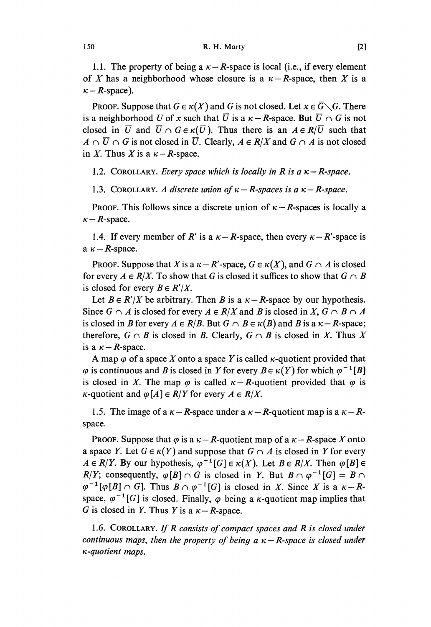1.1. The property of being a  $\kappa - R$ -space is local (i.e., if every element of X has a neighborhood whose closure is a  $\kappa - R$ -space, then X is a  $\kappa - R$ -space).

PROOF. Suppose that  $G \in \kappa(X)$  and G is not closed. Let  $x \in \overline{G} \setminus G$ . There is a neighborhood U of x such that  $\overline{U}$  is a  $\kappa - R$ -space. But  $\overline{U} \cap G$  is not closed in  $\overline{U}$  and  $\overline{U} \cap G \in \kappa(\overline{U})$ . Thus there is an  $A \in R/\overline{U}$  such that  $A \cap \overline{U} \cap G$  is not closed in  $\overline{U}$ . Clearly,  $A \in R/X$  and  $G \cap A$  is not closed in X. Thus X is a  $\kappa - R$ -space.

1.2. COROLLARY. Every space which is locally in R is a  $\kappa - R$ -space.

1.3. COROLLARY. A discrete union of  $\kappa - R$ -spaces is a  $\kappa - R$ -space.

PROOF. This follows since a discrete union of  $\kappa - R$ -spaces is locally a  $\kappa - R$ -space.

1.4. If every member of R' is a  $\kappa - R$ -space, then every  $\kappa - R'$ -space is a  $\kappa - R$ -space.

**PROOF.** Suppose that X is a  $\kappa - R'$ -space,  $G \in \kappa(X)$ , and  $G \cap A$  is closed for every  $A \in R/X$ . To show that G is closed it suffices to show that  $G \cap B$ is closed for every  $B \in R'/X$ .

Let  $B \in R'/X$  be arbitrary. Then B is a  $\kappa - R$ -space by our hypothesis. Since  $G \cap A$  is closed for every  $A \in R/X$  and B is closed in X,  $G \cap B \cap A$ is closed in B for every  $A \in R/B$ . But  $G \cap B \in \kappa(B)$  and B is a  $\kappa - R$ -space; therefore,  $G \cap B$  is closed in B. Clearly,  $G \cap B$  is closed in X. Thus X is a  $\kappa$  - R-space.

A map  $\varphi$  of a space X onto a space Y is called  $\kappa$ -quotient provided that  $\varphi$  is continuous and B is closed in Y for every  $B \in \kappa(Y)$  for which  $\varphi^{-1}[B]$ is closed in X. The map  $\varphi$  is called  $\kappa - R$ -quotient provided that  $\varphi$  is  $\kappa$ -quotient and  $\varphi[A] \in R/Y$  for every  $A \in R/X$ .

1.5. The image of a  $\kappa - R$ -space under a  $\kappa - R$ -quotient map is a  $\kappa - R$ space.

**PROOF.** Suppose that  $\varphi$  is a  $\kappa - R$ -quotient map of a  $\kappa - R$ -space X onto a space Y. Let  $G \in \kappa(Y)$  and suppose that  $G \cap A$  is closed in Y for every  $A \in R/Y$ . By our hypothesis,  $\varphi^{-1}[G] \in \kappa(X)$ . Let  $B \in R/X$ . Then  $\varphi[B] \in$ R/Y; consequently,  $\varphi[B] \cap G$  is closed in Y. But  $B \cap \varphi^{-1}[G] = B \cap$  $\varphi^{-1}[\varphi[B] \cap G]$ . Thus  $B \cap \varphi^{-1}[G]$  is closed in X. Since X is a  $\kappa - R$ space,  $\varphi^{-1}[G]$  is closed. Finally,  $\varphi$  being a *k*-quotient map implies that G is closed in Y. Thus Y is a  $\kappa - R$ -space.

1.6. COROLLARY. If  $R$  consists of compact spaces and  $R$  is closed under continuous maps, then the property of being  $a \kappa - R$ -space is closed under K-quotient maps.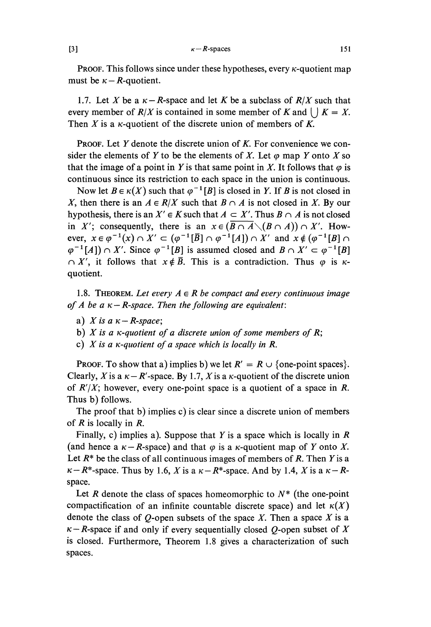#### $\kappa - R$ -spaces

PROOF. This follows since under these hypotheses, every  $\kappa$ -quotient map must be  $\kappa - R$ -quotient.

1.7. Let X be a  $\kappa - R$ -space and let K be a subclass of  $R/X$  such that every member of  $R/X$  is contained in some member of K and  $|X| = X$ . Then X is a  $\kappa$ -quotient of the discrete union of members of K.

**PROOF.** Let Y denote the discrete union of K. For convenience we consider the elements of Y to be the elements of X. Let  $\varphi$  map Y onto X so that the image of a point in Y is that same point in X. It follows that  $\varphi$  is continuous since its restriction to each space in the union is continuous.

Now let  $B \in \kappa(X)$  such that  $\varphi^{-1}[B]$  is closed in Y. If B is not closed in X, then there is an  $A \in R/X$  such that  $B \cap A$  is not closed in X. By our hypothesis, there is an  $X' \in K$  such that  $A \subset X'$ . Thus  $B \cap A$  is not closed in X'; consequently, there is an  $x \in (\overline{B \cap A} \setminus (B \cap A)) \cap X'$ . However,  $x \in \varphi^{-1}(x) \cap X' \subset (\varphi^{-1}[\overline{B}] \cap \varphi^{-1}[A]) \cap X'$  and  $x \notin (\varphi^{-1}[B] \cap \varphi^{-1}[A]) \cap X'$ . Since  $\varphi^{-1}[B]$  is assumed closed and  $B \cap X' \subset \varphi^{-1}[B]$  $\cap$  X', it follows that  $x \notin \overline{B}$ . This is a contradiction. Thus  $\varphi$  is  $\kappa$ quotient.

1.8. THEOREM. Let every  $A \in \mathbb{R}$  be compact and every continuous image of A be a  $\kappa - R$ -space. Then the following are equivalent:

- a) X is a  $\kappa R$ -space;
- b)  $X$  is a  $\kappa$ -quotient of a discrete union of some members of  $R$ ;
- c)  $X$  is a  $\kappa$ -quotient of a space which is locally in  $R$ .

**PROOF.** To show that a) implies b) we let  $R' = R \cup \{$ one-point spaces. Clearly, X is a  $\kappa - R'$ -space. By 1.7, X is a  $\kappa$ -quotient of the discrete union of  $R'/X$ ; however, every one-point space is a quotient of a space in R. Thus b) follows.

The proof that b) implies c) is clear since a discrete union of members of  $R$  is locally in  $R$ .

Finally, c) implies a). Suppose that  $Y$  is a space which is locally in  $R$ (and hence a  $\kappa - R$ -space) and that  $\varphi$  is a  $\kappa$ -quotient map of Y onto X. Let  $R^*$  be the class of all continuous images of members of R. Then Y is a  $\kappa - R^*$ -space. Thus by 1.6, X is a  $\kappa - R^*$ -space. And by 1.4, X is a  $\kappa - R$ space.

Let R denote the class of spaces homeomorphic to  $N^*$  (the one-point compactification of an infinite countable discrete space) and let  $\kappa(X)$ denote the class of  $Q$ -open subsets of the space X. Then a space X is a  $\kappa - R$ -space if and only if every sequentially closed Q-open subset of X is closed. Furthermore, Theorem 1.8 gives a characterization of such spaces.